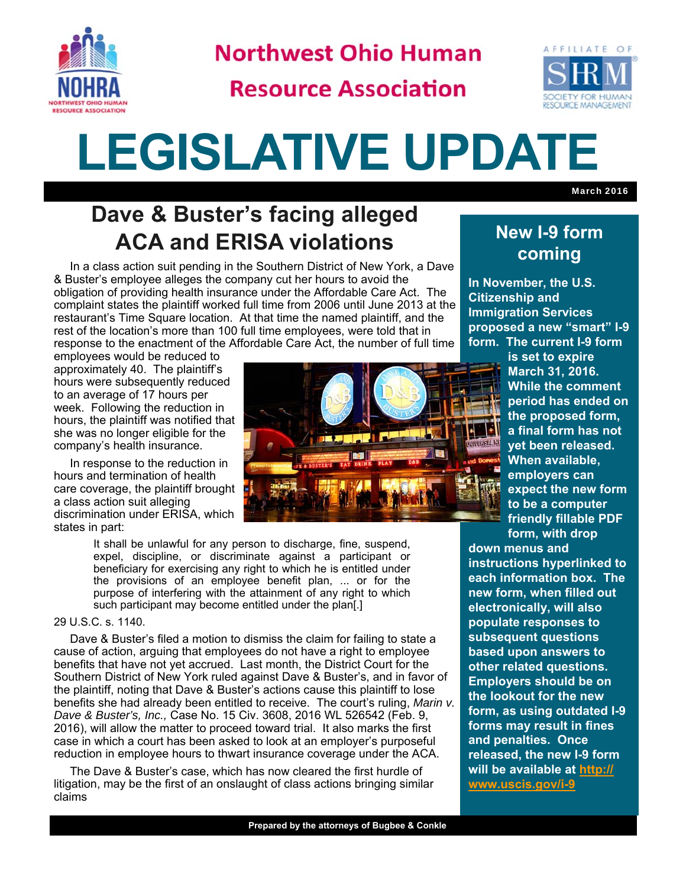

**Northwest Ohio Human** 

**Resource Association** 



March 2016

# **LEGISLATIVE UPDATE**

## **Dave & Buster's facing alleged ACA and ERISA violations**

 In a class action suit pending in the Southern District of New York, a Dave & Buster's employee alleges the company cut her hours to avoid the obligation of providing health insurance under the Affordable Care Act. The complaint states the plaintiff worked full time from 2006 until June 2013 at the restaurant's Time Square location. At that time the named plaintiff, and the rest of the location's more than 100 full time employees, were told that in response to the enactment of the Affordable Care Act, the number of full time

employees would be reduced to approximately 40. The plaintiff's hours were subsequently reduced to an average of 17 hours per week. Following the reduction in hours, the plaintiff was notified that she was no longer eligible for the company's health insurance.

 In response to the reduction in hours and termination of health care coverage, the plaintiff brought a class action suit alleging discrimination under ERISA, which states in part:

> It shall be unlawful for any person to discharge, fine, suspend, expel, discipline, or discriminate against a participant or beneficiary for exercising any right to which he is entitled under the provisions of an employee benefit plan, ... or for the purpose of interfering with the attainment of any right to which such participant may become entitled under the plan[.]

#### 29 U.S.C. s. 1140.

 Dave & Buster's filed a motion to dismiss the claim for failing to state a cause of action, arguing that employees do not have a right to employee benefits that have not yet accrued. Last month, the District Court for the Southern District of New York ruled against Dave & Buster's, and in favor of the plaintiff, noting that Dave & Buster's actions cause this plaintiff to lose benefits she had already been entitled to receive. The court's ruling, *Marin v. Dave & Buster's, Inc.,* Case No. 15 Civ. 3608, 2016 WL 526542 (Feb. 9, 2016), will allow the matter to proceed toward trial. It also marks the first case in which a court has been asked to look at an employer's purposeful reduction in employee hours to thwart insurance coverage under the ACA.

 The Dave & Buster's case, which has now cleared the first hurdle of litigation, may be the first of an onslaught of class actions bringing similar claims



### **New I-9 form coming**

**In November, the U.S. Citizenship and Immigration Services proposed a new "smart" I-9 form. The current I-9 form** 

> **is set to expire March 31, 2016. While the comment period has ended on the proposed form, a final form has not yet been released. When available, employers can expect the new form to be a computer friendly fillable PDF form, with drop**

**down menus and instructions hyperlinked to each information box. The new form, when filled out electronically, will also populate responses to subsequent questions based upon answers to other related questions. Employers should be on the lookout for the new form, as using outdated I-9 forms may result in fines and penalties. Once released, the new I-9 form will be available at http:// www.uscis.gov/i-9**